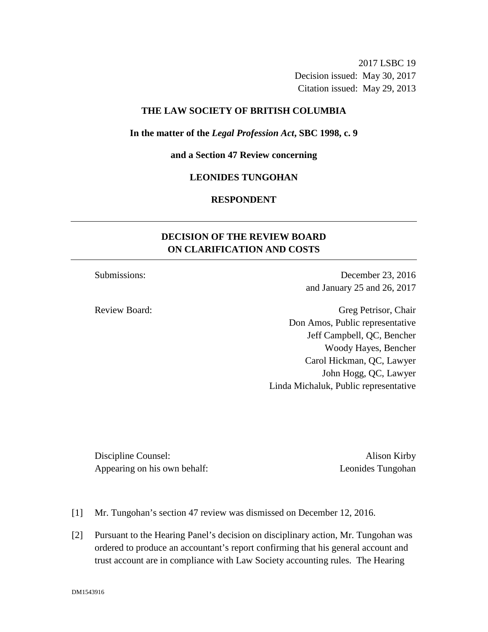2017 LSBC 19 Decision issued: May 30, 2017 Citation issued: May 29, 2013

## **THE LAW SOCIETY OF BRITISH COLUMBIA**

#### **In the matter of the** *Legal Profession Act***, SBC 1998, c. 9**

**and a Section 47 Review concerning**

### **LEONIDES TUNGOHAN**

## **RESPONDENT**

# **DECISION OF THE REVIEW BOARD ON CLARIFICATION AND COSTS**

Submissions: December 23, 2016 and January 25 and 26, 2017

Review Board: Greg Petrisor, Chair Don Amos, Public representative Jeff Campbell, QC, Bencher Woody Hayes, Bencher Carol Hickman, QC, Lawyer John Hogg, QC, Lawyer Linda Michaluk, Public representative

Discipline Counsel: Alison Kirby Appearing on his own behalf: Leonides Tungohan

- [1] Mr. Tungohan's section 47 review was dismissed on December 12, 2016.
- [2] Pursuant to the Hearing Panel's decision on disciplinary action, Mr. Tungohan was ordered to produce an accountant's report confirming that his general account and trust account are in compliance with Law Society accounting rules. The Hearing